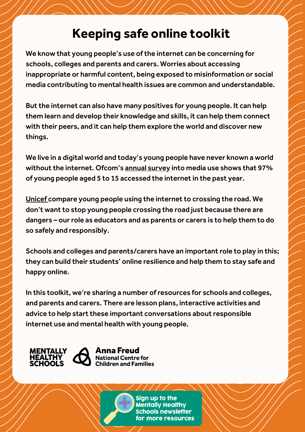# **Keeping safe online toolkit**

We know that young people's use of the internet can be concerning for schools, colleges and parents and carers. Worries about accessing inappropriate or harmful content, being exposed to misinformation or social media contributing to mental health issues are common and understandable.

But the internet can also have many positives for young people. It can help them learn and develop their knowledge and skills, it can help them connect with their peers, and it can help them explore the world and discover new things.

We live in a digital world and today's young people have never known a world without the internet. Ofcom's annual [survey](https://www.ofcom.org.uk/__data/assets/pdf_file/0025/217825/children-and-parents-media-use-and-attitudes-report-2020-21.pdf) into media use shows that 97% of young people aged 5 to 15 accessed the internet in the past year.

[Unicef](https://www.unicef.org/press-releases/done-right-internet-use-among-children-can-increase-learning-opportunities-and-build) compare young people using the internet to crossing the road. We don't want to stop young people crossing the road just because there are dangers – our role as educators and as parents or carers is to help them to do so safely and responsibly.

Schools and colleges and parents/carers have an important role to play in this; they can build their students' online resilience and help them to stay safe and happy online.

In this toolkit, we're sharing a number of resources for schools and colleges, and parents and carers. There are lesson plans, interactive activities and advice to help start these important conversations about responsible internet use and mental health with young people.



Anna Freud **National Centre for Children and Families** 

> Sign up to the **Mentally Healthy Schools newsletter** for more resources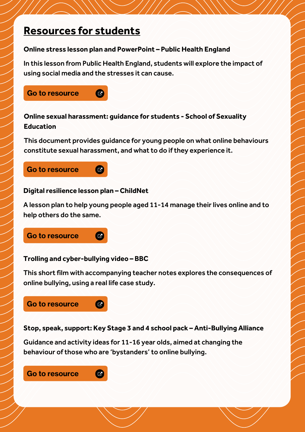## **Resources for students**

#### **Online stress lesson plan and PowerPoint – Public Health England**

In this lesson from Public Health England, students will explore the impact of using social media and the stresses it can cause.



## **Online sexual harassment: guidance for students - School of Sexuality Education**

This document provides guidance for young people on what online behaviours constitute sexual harassment, and what to do if they experience it.

## Go to [resource](https://mentallyhealthyschools.org.uk/resources/online-sexual-harassment-guidance-for-students/)



## **Digital resilience lesson plan - ChildNet**

A lesson plan to help young people aged 11-14 manage their lives online and to help others do the same.

## Go to [resource](https://mentallyhealthyschools.org.uk/resources/digital-resilience-lesson-plan/)

#### **Trolling and cyber-bullying video – BBC**

 $\overline{C}$ 

 $\overline{G}$ 

This short film with accompanying teacher notes explores the consequences of online bullying, using a real life case study.

## Go to [resource](https://mentallyhealthyschools.org.uk/resources/trolling-and-cyber-bullying-video/)

**Stop, speak, support: Key Stage 3 and 4 school pack – Anti-Bullying Alliance**

Guidance and activity ideas for 11-16 year olds, aimed at changing the behaviour of those who are 'bystanders' to online bullying.

Go to [resource](https://mentallyhealthyschools.org.uk/resources/stop-speak-support-key-stage-3-and-4-school-pack/)